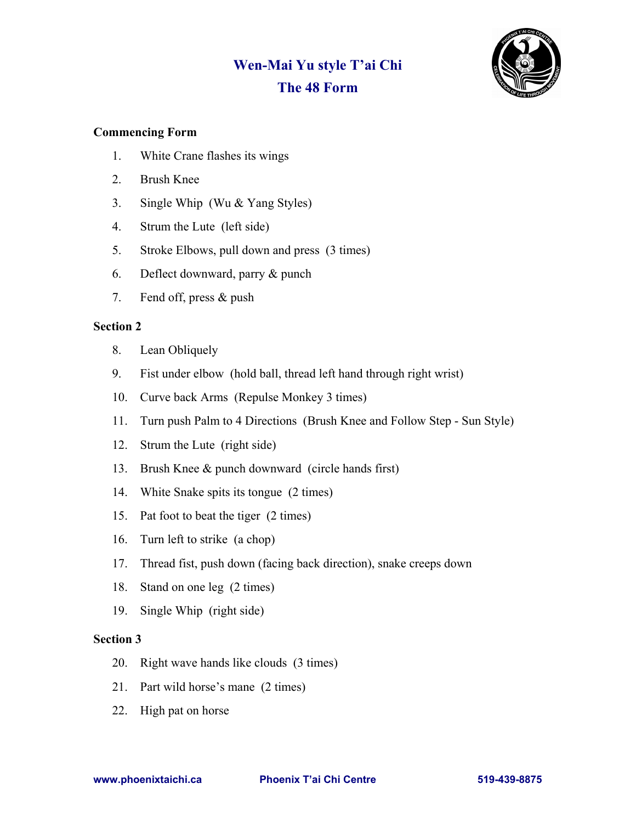## **Wen-Mai Yu style T'ai Chi The 48 Form**



## **Commencing Form**

- 1. White Crane flashes its wings
- 2. Brush Knee
- 3. Single Whip (Wu & Yang Styles)
- 4. Strum the Lute (left side)
- 5. Stroke Elbows, pull down and press (3 times)
- 6. Deflect downward, parry & punch
- 7. Fend off, press & push

## **Section 2**

- 8. Lean Obliquely
- 9. Fist under elbow (hold ball, thread left hand through right wrist)
- 10. Curve back Arms (Repulse Monkey 3 times)
- 11. Turn push Palm to 4 Directions (Brush Knee and Follow Step Sun Style)
- 12. Strum the Lute (right side)
- 13. Brush Knee & punch downward (circle hands first)
- 14. White Snake spits its tongue (2 times)
- 15. Pat foot to beat the tiger (2 times)
- 16. Turn left to strike (a chop)
- 17. Thread fist, push down (facing back direction), snake creeps down
- 18. Stand on one leg (2 times)
- 19. Single Whip (right side)

## **Section 3**

- 20. Right wave hands like clouds (3 times)
- 21. Part wild horse's mane (2 times)
- 22. High pat on horse